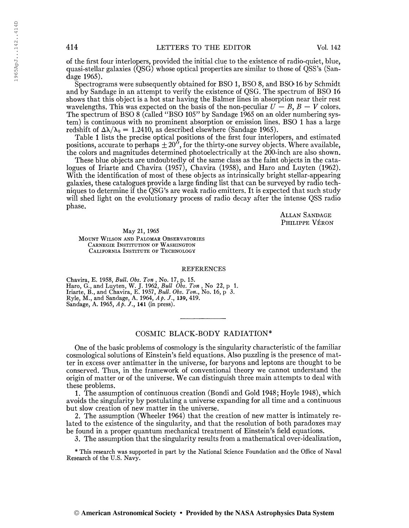of the first four interlopers, provided the initial clue to the existence of radio-quiet, blue, quasi-stellar galaxies (QSG) whose optical properties are similar to those of QSS's (Sandage 1965).

Spectrograms were subsequently obtained for BSO 1, BSO 8, and BSO 16 by Schmidt and by Sandage in an attempt to verify the existence of QSG. The spectrum of BSO 16 shows that this object is a hot star having the Balmer lines in absorption near their rest wavelengths. This was expected on the basis of the non-peculiar  $U - B$ ,  $B - V$  colors. The spectrum of BSO 8 (called "BSO 105" by Sandage 1965 on an older numbering system) is continuous with no prominent absorption or emission lines. BSO <sup>1</sup> has a large redshift of  $\Delta\lambda/\lambda_0 = 1.2410$ , as described elsewhere (Sandage 1965).

Table <sup>1</sup> lists the precise optical positions of the first four interlopers, and estimated positions, accurate to perhaps  $\pm 20^{\prime\prime}$ , for the thirty-one survey objects. Where available, the colors and magnitudes determined photoelectrically at the 200-inch are also shown.

These blue objects are undoubtedly of the same class as the faint objects in the catalogues of Iriarte and Chavira (1957), Chavira (1958), and Haro and Luyten (1962). With the identification of most of these objects as intrinsically bright stellar-appearing galaxies, these catalogues provide a large finding list that can be surveyed by radio techniques to determine if the QSG's are weak radio emitters. It is expected that such study will shed light on the evolutionary process of radio decay after the intense QSS radio phase.

> Allan Sandage Philippe Véron

May 21, 1965

Mount Wilson and Palomar Observatories Carnegie Institution or Washington California Institute of Technology

### REFERENCES

Chavira, E. 1958, Bull. Obs. Ton , No. 17, p. 15. Haro, G., and Luyten, W. J. 1962, Bull Obs. Ton, No 22, p 1. Iriarte, B., and Chavira, E. 1957, *Bull. Obs. Ton.*, No. 16, p<sup>-</sup> 3.<br>Ryle, M., and Sandage, A. 1964, Ap. J., 139, 419. Sandage, A. 1965,  $A \cancel{p}$ . J., 141 (in press).

# COSMIC BLACK-BODY RADIATION\*

One of the basic problems of cosmology is the singularity characteristic of the familiar cosmological solutions of Einstein's field equations. Also puzzling is the presence of matter in excess over antimatter in the universe, for baryons and leptons are thought to be conserved. Thus, in the framework of conventional theory we cannot understand the origin of matter or of the universe. We can distinguish three main attempts to deal with these problems.

1. The assumption of continuous creation (Bondi and Gold 1948; Hoyle 1948), which avoids the singularity by postulating a universe expanding for all time and a continuous but slow creation of new matter in the universe.

2. The assumption (Wheeler 1964) that the creation of new matter is intimately related to the existence of the singularity, and that the resolution of both paradoxes may be found in a proper quantum mechanical treatment of Einstein's field equations.

3. The assumption that the singularity results from a mathematical over-idealization,

\* This research was supported in part by the National Science Foundation and the Office of Naval Research of the U.S. Navy.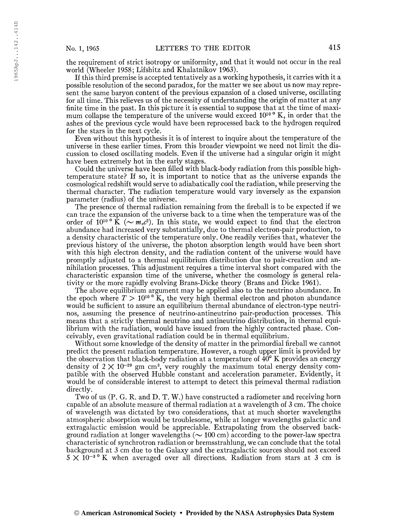the requirement of strict isotropy or uniformity, and that it would not occur in the real world (Wheeler 1958; Lifshitz and Khalatnikov 1963).

If this third premise is accepted tentatively as a working hypothesis, it carries with it a possible resolution of the second paradox, for the matter we see about us now may represent the same baryon content of the previous expansion of a closed universe, oscillating for all time. This relieves us of the necessity of understanding the origin of matter at any finite time in the past. In this picture it is essential to suppose that at the time of maximum collapse the temperature of the universe would exceed  $10^{10}$  ° K, in order that the ashes of the previous cycle would have been reprocessed back to the hydrogen required for the stars in the next cycle.

Even without this hypothesis it is of interest to inquire about the temperature of the universe in these earlier times. From this broader viewpoint we need not limit the discussion to closed oscillating models. Even if the universe had a singular origin it might have been extremely hot in the early stages.

Could the universe have been filled with black-body radiation from this possible hightemperature state? If so, it is important to notice that as the universe expands the cosmological redshift would serve to adiabatically cool the radiation, while preserving the thermal character. The radiation temperature would vary inversely as the expansion parameter (radius) of the universe.

The presence of thermal radiation remaining from the fireball is to be expected if we can trace the expansion of the universe back to a time when the temperature was of the order of  $10^{10}$   $K \ (\sim m_e c^2)$ . In this state, we would expect to find that the electron abundance had increased very substantially, due to thermal electron-pair production, to a density characteristic of the temperature only. One readily verifies that, whatever the previous history of the universe, the photon absorption length would have been short with this high electron density, and the radiation content of the universe would have promptly adjusted to a thermal equilibrium distribution due to pair-creation and annihilation processes. This adjustment requires a time interval short compared with the characteristic expansion time of the universe, whether the cosmology is general relativity or the more rapidly evolving Brans-Dicke theory (Brans and Dicke 1961).

The above equilibrium argument may be applied also to the neutrino abundance. In the epoch where  $T > 10^{10}$  K, the very high thermal electron and photon abundance would be sufficient to assure an equilibrium thermal abundance of electron-type neutrinos, assuming the presence of neutrino-antineutrino pair-production processes. This means that a strictly thermal neutrino and antineutrino distribution, in thermal equilibrium with the radiation, would have issued from the highly contracted phase. Conceivably, even gravitational radiation could be in thermal equilibrium.

Without some knowledge of the density of matter in the primordial fireball we cannot predict the present radiation temperature. However, a rough upper limit is provided by the observation that black-body radiation at a temperature of 40° K provides an energy density of  $2 \times 10^{-29}$  gm cm<sup>3</sup>, very roughly the maximum total energy density compatible with the observed Hubble constant and acceleration parameter. Evidently, it would be of considerable interest to attempt to detect this primeval thermal radiation directly.

Two of us (P. G. R. and D. T. W.) have constructed a radiometer and receiving horn capable of an absolute measure of thermal radiation at a wavelength of 3 cm. The choice of wavelength was dictated by two considerations, that at much shorter wavelengths atmospheric absorption would be troublesome, while at longer wavelengths galactic and extragalactic emission would be appreciable. Extrapolating from the observed background radiation at longer wavelengths ( $\sim$  100 cm) according to the power-law spectra characteristic of synchrotron radiation or bremsstrahlung, we can conclude that the total background at 3 cm due to the Galaxy and the extragalactic sources should not exceed  $5 \times 10^{-3}$  K when averaged over all directions. Radiation from stars at 3 cm is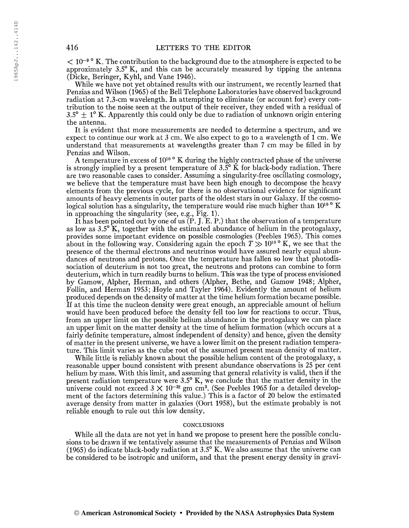$< 10^{-9}$  ° K. The contribution to the background due to the atmosphere is expected to be approximately 3.5° K, and this can be accurately measured by tipping the antenna (Dicke, Beringer, Kyhl, and Vane 1946).

While we have not yet obtained results with our instrument, we recently learned that Penzias and Wilson (1965) of the Bell Telephone Laboratories have observed background radiation at 7.3-cm wavelength. In attempting to eliminate (or account for) every contribution to the noise seen at the output of their receiver, they ended with a residual of  $3.5^{\circ}$   $\pm$  1° K. Apparently this could only be due to radiation of unknown origin entering the antenna.

It is evident that more measurements are needed to determine a spectrum, and we expect to continue our work at 3 cm. We also expect to go to a wavelength of <sup>1</sup> cm. We understand that measurements at wavelengths greater than <sup>7</sup> cm may be filled in by Penzias and Wilson.

A temperature in excess of  $10^{10}$   $\degree$  K during the highly contracted phase of the universe is strongly implied by a present temperature of  $3.5^\circ$  K for black-body radiation. There are two reasonable cases to consider. Assuming a singularity-free oscillating cosmology, we believe that the temperature must have been high enough to decompose the heavy elements from the previous cycle, for there is no observational evidence for significant amounts of heavy elements in outer parts of the oldest stars in our Galaxy. If the cosmological solution has a singularity, the temperature would rise much higher than 10<sup>10</sup> °K in approaching the singularity (see, e.g., Fig. 1).

It has been pointed out by one of us  $(P, J, E, P)$  that the observation of a temperature as low as 3.5° K, together with the estimated abundance of helium in the protogalaxy, provides some important evidence on possible cosmologies (Peebles 1965). This comes about in the following way. Considering again the epoch  $T \gg 10^{10}$   $^{\circ}$  K, we see that the presence of the thermal electrons and neutrinos would have assured nearly equal abundances of neutrons and protons. Once the temperature has fallen so low that photodissociation of deuterium is not too great, the neutrons and protons can combine to form deuterium, which in turn readily burns to helium. This was the type of process envisioned by Gamow, Alpher, Herman, and others (Alpher, Bethe, and Gamow 1948; Alpher, Follin, and Herman 1953; Hoyle and Tayler 1964). Evidently the amount of helium produced depends on the density of matter at the time helium formation became possible. If at this time the nucleon density were great enough, an appreciable amount of helium would have been produced before the density fell too low for reactions to occur. Thus, from an upper limit on the possible helium abundance in the protogalaxy we can place an upper limit on the matter density at the time of helium formation (which occurs at a fairly definite temperature, almost independent of density) and hence, given the density of matter in the present universe, we have a lower limit on the present radiation temperature. This limit varies as the cube root of the assumed present mean density of matter.

While little is reliably known about the possible helium content of the protogalaxy, a reasonable upper bound consistent with present abundance observations is 25 per cent helium by mass. With this limit, and assuming that general relativity is valid, then if the present radiation temperature were 3.5° K, we conclude that the matter density in the universe could not exceed  $3 \times 10^{-32}$  gm cm<sup>3</sup>. (See Peebles 1965 for a detailed development of the factors determining this value.) This is a factor of 20 below the estimated average density from matter in galaxies (Oort 1958), but the estimate probably is not reliable enough to rule out this low density.

## **CONCLUSIONS**

While all the data are not yet in hand we propose to present here the possible conclusions to be drawn if we tentatively assume that the measurements of Penzias and Wilson (1965) do indicate black-body radiation at  $3.5^{\circ}$  K. We also assume that the universe can be considered to be isotropic and uniform, and that the present energy density in gravi-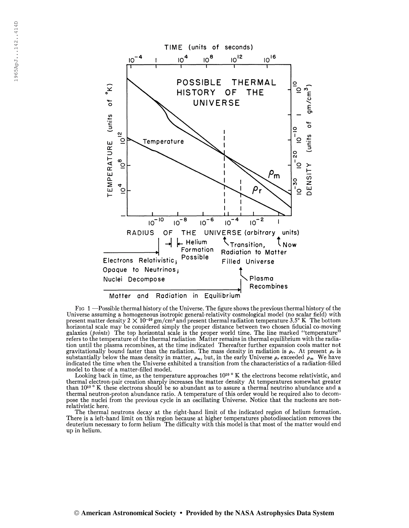

Fig <sup>1</sup> —Possible thermal history of the Universe. The figure shows the previous thermal history of the Universe assuming a homogeneous isotropic general-relativity cosmological model (no scalar field) with present matter density  $2 \times 10^{-29}$  gm/cm<sup>3</sup> and present thermal radiation temperature 3.5° K. The bottom horizontal scale may be considered simply the proper distance between two chosen fiducial co-moving galaxies (*points*) The top horizontal scale is the proper world time. The line marked "temperature" refers to the temperature of the thermal radiation Matter remains in thermal equilibrium with the radiation until the plasma recombines, at the time indicated Thereafter further expansion cools matter not gravitationally bound faster than the radiation. The mass density in radiation is  $\rho_r$ . At present  $\rho_r$  is substantially below the mass density in matter,  $\rho_m$ , but, in the early Universe  $\rho_r$  exceeded  $\rho_m$ . We have indicated the time when the Universe exhibited a transition from the characteristics of a radiation-filled model to those of a matter-filled model.

Looking back in time, as the temperature approaches  $10^{10}$   $\degree$  K the electrons become relativistic, and thermal electron-pair creation sharply increases the matter density At temperatures somewhat greater than 10<sup>10</sup> ° K these electrons should be so abundant as to assure a thermal neutrino abundance and a thermal neutron-proton abundance ratio. A temperature of this order would be required also to decompose the nuclei from the previous cycle in an oscillating Universe. Notice that the nucleons are nonrelativistic here.

The thermal neutrons decay at the right-hand limit of the indicated region of helium formation. There is a left-hand limit on this region because at higher temperatures photodissociation removes the deuterium necessary to form helium The difficulty with this model is that most of the matter would end up in helium.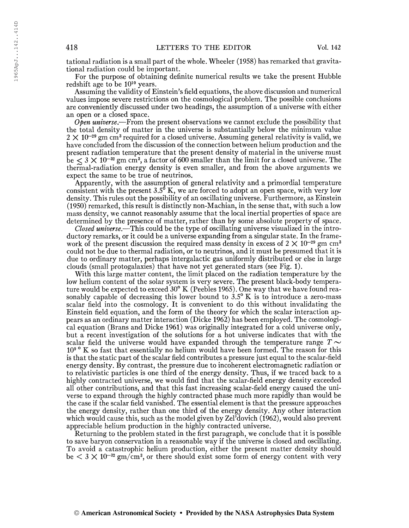tational radiation is a small part of the whole. Wheeler (1958) has remarked that gravitational radiation could be important.

For the purpose of obtaining definite numerical results we take the present Hubble redshift age to be 10<sup>10</sup> years.

Assuming the validity of Einstein's field equations, the above discussion and numerical values impose severe restrictions on the cosmological problem. The possible conclusions are conveniently discussed under two headings, the assumption of a universe with either an open or a closed space.

 $\overline{Open\, universe}$ . From the present observations we cannot exclude the possibility that the total density of matter in the universe is substantially below the minimum value  $2 \times 10^{-29}$  gm cm<sup>3</sup> required for a closed universe. Assuming general relativity is valid, we have concluded from the discussion of the connection between helium production and the present radiation temperature that the present density of material in the universe must  $\mathrm{b}\mathrm{e}\lesssim3\times10^{-32}\mathrm{~gm~cm^{3},}$  a factor of 600 smaller than the limit for a closed universe. The thermal-radiation energy density is even smaller, and from the above arguments we expect the same to be true of neutrinos.

Apparently, with the assumption of general relativity and a primordial temperature consistent with the present  $3.5^{\circ}$  K, we are forced to adopt an open space, with very low density. This rules out the possibility of an oscillating universe. Furthermore, as Einstein (1950) remarked, this result is distinctly non-Machian, in the sense that, with such a low mass density, we cannot reasonably assume that the local inertial properties of space are determined by the presence of matter, rather than by some absolute property of space.

Closed universe.—This could be the type of oscillating universe visualized in the introductory remarks, or it could be a universe expanding from a singular state. In the framework of the present discussion the required mass density in excess of  $2 \times 10^{-29}$  gm cm<sup>3</sup> could not be due to thermal radiation, or to neutrinos, and it must be presumed that it is due to ordinary matter, perhaps intergalactic gas uniformly distributed or else in large clouds (small protogalaxies) that have not yet generated stars (see Fig. 1).

With this large matter content, the limit placed on the radiation temperature by the low helium content of the solar system is very severe. The present black-body temperature would be expected to exceed 30° K (Peebles 1965). One way that we have found reasonably capable of decreasing this lower bound to  $3.5^\circ$  K is to introduce a zero-mass scalar field into the cosmology. It is convenient to do this without invalidating the Einstein field equation, and the form of the theory for which the scalar interaction appears as an ordinary matter interaction (Dicke 1962) has been employed. The cosmological equation (Brans and Dicke 1961) was originally integrated for a cold universe only, but a recent investigation of the solutions for a hot universe indicates that with the scalar field the universe would have expanded through the temperature range  $T \sim$ 10<sup>9</sup> <sup>o</sup> K so fast that essentially no helium would have been formed. The reason for this is that the static part of the scalar field contributes a pressure just equal to the scalar-field energy density. By contrast, the pressure due to incoherent electromagnetic radiation or to relativistic particles is one third of the energy density. Thus, if we traced back to a highly contracted universe, we would find that the scalar-field energy density exceeded all other contributions, and that this fast increasing scalar-field energy caused the universe to expand through the highly contracted phase much more rapidly than would be the case if the scalar field vanished. The essential element is that the pressure approaches the energy density, rather than one third of the energy density. Any other interaction which would cause this, such as the model given by Zel'dovich (1962), would also prevent appreciable helium production in the highly contracted universe.

Returning to the problem stated in the first paragraph, we conclude that it is possible to save baryon conservation in a reasonable way if the universe is closed and oscillating. To avoid a catastrophic helium production, either the present matter density should be  $< 3 \times 10^{-32}$  gm/cm<sup>3</sup>, or there should exist some form of energy content with very